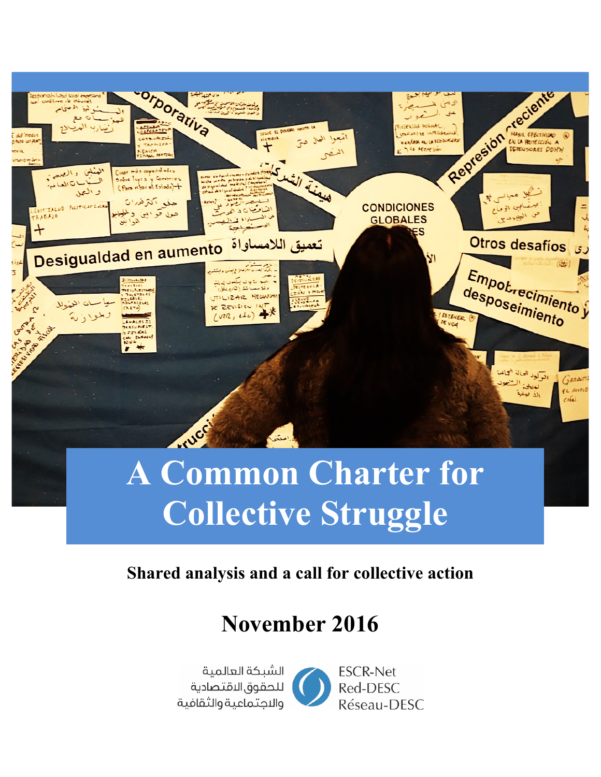

# **Collective Struggle**

### **Shared analysis and a call for collective action**

## **November 2016**

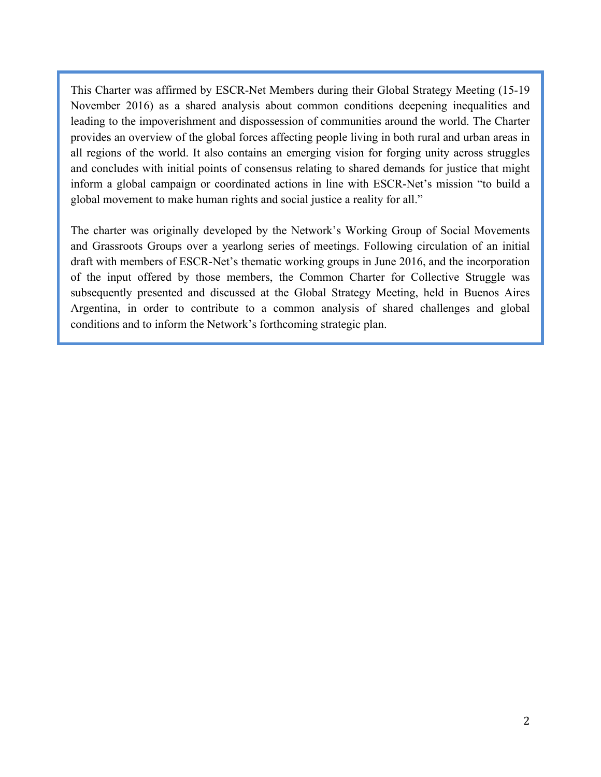This Charter was affirmed by ESCR-Net Members during their Global Strategy Meeting (15-19 November 2016) as a shared analysis about common conditions deepening inequalities and leading to the impoverishment and dispossession of communities around the world. The Charter provides an overview of the global forces affecting people living in both rural and urban areas in all regions of the world. It also contains an emerging vision for forging unity across struggles and concludes with initial points of consensus relating to shared demands for justice that might inform a global campaign or coordinated actions in line with ESCR-Net's mission "to build a global movement to make human rights and social justice a reality for all."

The charter was originally developed by the Network's Working Group of Social Movements and Grassroots Groups over a yearlong series of meetings. Following circulation of an initial draft with members of ESCR-Net's thematic working groups in June 2016, and the incorporation of the input offered by those members, the Common Charter for Collective Struggle was subsequently presented and discussed at the Global Strategy Meeting, held in Buenos Aires Argentina, in order to contribute to a common analysis of shared challenges and global conditions and to inform the Network's forthcoming strategic plan.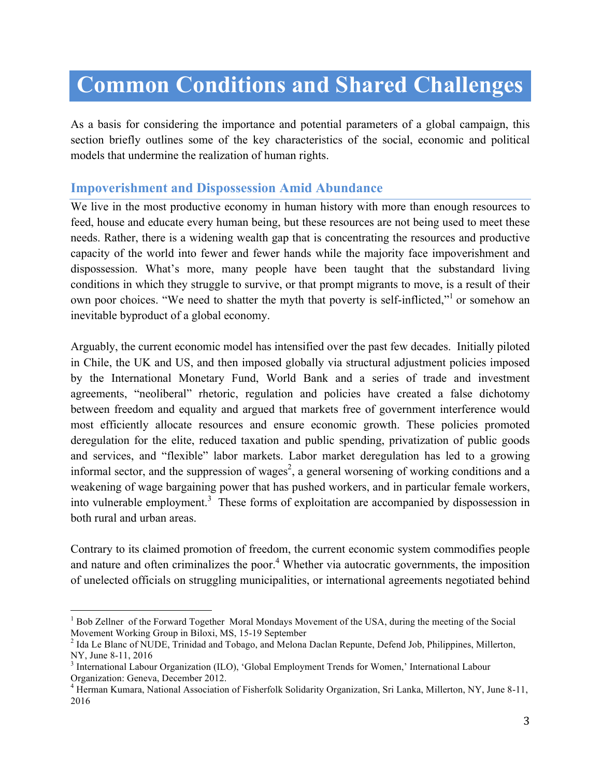## **Common Conditions and Shared Challenges**

As a basis for considering the importance and potential parameters of a global campaign, this section briefly outlines some of the key characteristics of the social, economic and political models that undermine the realization of human rights.

#### **Impoverishment and Dispossession Amid Abundance**

We live in the most productive economy in human history with more than enough resources to feed, house and educate every human being, but these resources are not being used to meet these needs. Rather, there is a widening wealth gap that is concentrating the resources and productive capacity of the world into fewer and fewer hands while the majority face impoverishment and dispossession. What's more, many people have been taught that the substandard living conditions in which they struggle to survive, or that prompt migrants to move, is a result of their own poor choices. "We need to shatter the myth that poverty is self-inflicted," or somehow an inevitable byproduct of a global economy.

Arguably, the current economic model has intensified over the past few decades. Initially piloted in Chile, the UK and US, and then imposed globally via structural adjustment policies imposed by the International Monetary Fund, World Bank and a series of trade and investment agreements, "neoliberal" rhetoric, regulation and policies have created a false dichotomy between freedom and equality and argued that markets free of government interference would most efficiently allocate resources and ensure economic growth. These policies promoted deregulation for the elite, reduced taxation and public spending, privatization of public goods and services, and "flexible" labor markets. Labor market deregulation has led to a growing informal sector, and the suppression of wages<sup>2</sup>, a general worsening of working conditions and a weakening of wage bargaining power that has pushed workers, and in particular female workers, into vulnerable employment.<sup>3</sup> These forms of exploitation are accompanied by dispossession in both rural and urban areas.

Contrary to its claimed promotion of freedom, the current economic system commodifies people and nature and often criminalizes the poor.<sup>4</sup> Whether via autocratic governments, the imposition of unelected officials on struggling municipalities, or international agreements negotiated behind

<sup>&</sup>lt;sup>1</sup> Bob Zellner of the Forward Together Moral Mondays Movement of the USA, during the meeting of the Social Movement Working Group in Biloxi, MS, 15-19 September<br><sup>2</sup> Ida Le Blanc of NUDE, Trinidad and Tobago, and Melona Daclan Repunte, Defend Job, Philippines, Millerton,

NY, June 8-11, 2016<br><sup>3</sup> International Labour Organization (ILO), 'Global Employment Trends for Women,' International Labour

Organization: Geneva, December 2012.

<sup>&</sup>lt;sup>4</sup> Herman Kumara, National Association of Fisherfolk Solidarity Organization, Sri Lanka, Millerton, NY, June 8-11, 2016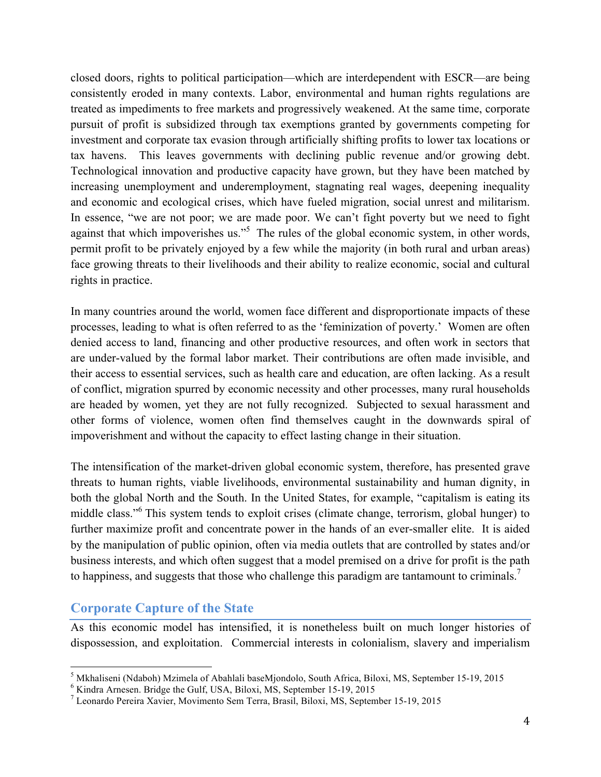closed doors, rights to political participation—which are interdependent with ESCR—are being consistently eroded in many contexts. Labor, environmental and human rights regulations are treated as impediments to free markets and progressively weakened. At the same time, corporate pursuit of profit is subsidized through tax exemptions granted by governments competing for investment and corporate tax evasion through artificially shifting profits to lower tax locations or tax havens. This leaves governments with declining public revenue and/or growing debt. Technological innovation and productive capacity have grown, but they have been matched by increasing unemployment and underemployment, stagnating real wages, deepening inequality and economic and ecological crises, which have fueled migration, social unrest and militarism. In essence, "we are not poor; we are made poor. We can't fight poverty but we need to fight against that which impoverishes us."<sup>5</sup> The rules of the global economic system, in other words, permit profit to be privately enjoyed by a few while the majority (in both rural and urban areas) face growing threats to their livelihoods and their ability to realize economic, social and cultural rights in practice.

In many countries around the world, women face different and disproportionate impacts of these processes, leading to what is often referred to as the 'feminization of poverty.' Women are often denied access to land, financing and other productive resources, and often work in sectors that are under-valued by the formal labor market. Their contributions are often made invisible, and their access to essential services, such as health care and education, are often lacking. As a result of conflict, migration spurred by economic necessity and other processes, many rural households are headed by women, yet they are not fully recognized. Subjected to sexual harassment and other forms of violence, women often find themselves caught in the downwards spiral of impoverishment and without the capacity to effect lasting change in their situation.

The intensification of the market-driven global economic system, therefore, has presented grave threats to human rights, viable livelihoods, environmental sustainability and human dignity, in both the global North and the South. In the United States, for example, "capitalism is eating its middle class."<sup>6</sup> This system tends to exploit crises (climate change, terrorism, global hunger) to further maximize profit and concentrate power in the hands of an ever-smaller elite. It is aided by the manipulation of public opinion, often via media outlets that are controlled by states and/or business interests, and which often suggest that a model premised on a drive for profit is the path to happiness, and suggests that those who challenge this paradigm are tantamount to criminals.<sup>7</sup>

#### **Corporate Capture of the State**

As this economic model has intensified, it is nonetheless built on much longer histories of dispossession, and exploitation. Commercial interests in colonialism, slavery and imperialism

<sup>&</sup>lt;sup>5</sup> Mkhaliseni (Ndaboh) Mzimela of Abahlali baseMjondolo, South Africa, Biloxi, MS, September 15-19, 2015<br><sup>6</sup> Kindra Arnesen. Bridge the Gulf, USA, Biloxi, MS, September 15-19, 2015<br><sup>7</sup> Leonardo Pereira Xavier, Movimento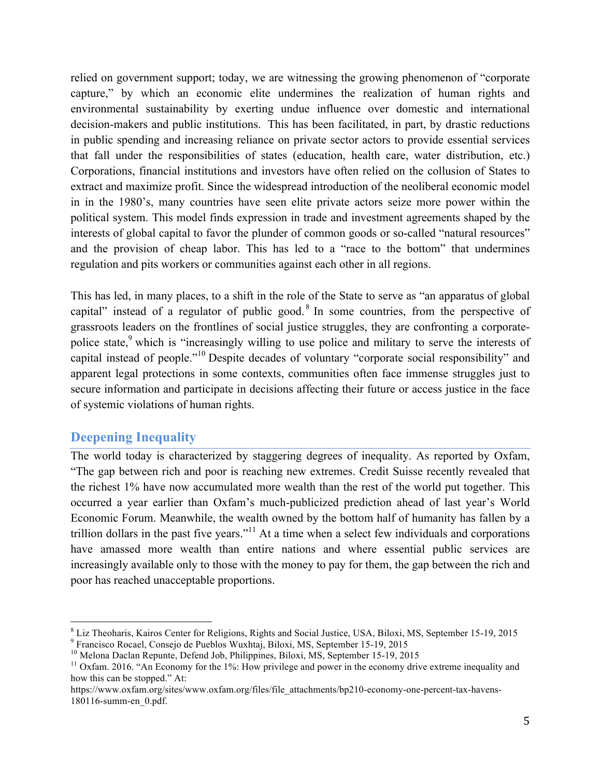relied on government support; today, we are witnessing the growing phenomenon of "corporate capture," by which an economic elite undermines the realization of human rights and environmental sustainability by exerting undue influence over domestic and international decision-makers and public institutions. This has been facilitated, in part, by drastic reductions in public spending and increasing reliance on private sector actors to provide essential services that fall under the responsibilities of states (education, health care, water distribution, etc.) Corporations, financial institutions and investors have often relied on the collusion of States to extract and maximize profit. Since the widespread introduction of the neoliberal economic model in in the 1980's, many countries have seen elite private actors seize more power within the political system. This model finds expression in trade and investment agreements shaped by the interests of global capital to favor the plunder of common goods or so-called "natural resources" and the provision of cheap labor. This has led to a "race to the bottom" that undermines regulation and pits workers or communities against each other in all regions.

This has led, in many places, to a shift in the role of the State to serve as "an apparatus of global capital" instead of a regulator of public good.<sup>8</sup> In some countries, from the perspective of grassroots leaders on the frontlines of social justice struggles, they are confronting a corporatepolice state,<sup>9</sup> which is "increasingly willing to use police and military to serve the interests of capital instead of people."<sup>10</sup> Despite decades of voluntary "corporate social responsibility" and apparent legal protections in some contexts, communities often face immense struggles just to secure information and participate in decisions affecting their future or access justice in the face of systemic violations of human rights.

#### **Deepening Inequality**

The world today is characterized by staggering degrees of inequality. As reported by Oxfam, "The gap between rich and poor is reaching new extremes. Credit Suisse recently revealed that the richest 1% have now accumulated more wealth than the rest of the world put together. This occurred a year earlier than Oxfam's much-publicized prediction ahead of last year's World Economic Forum. Meanwhile, the wealth owned by the bottom half of humanity has fallen by a trillion dollars in the past five years."<sup>11</sup> At a time when a select few individuals and corporations have amassed more wealth than entire nations and where essential public services are increasingly available only to those with the money to pay for them, the gap between the rich and poor has reached unacceptable proportions.

<sup>&</sup>lt;sup>8</sup> Liz Theoharis, Kairos Center for Religions, Rights and Social Justice, USA, Biloxi, MS, September 15-19, 2015<br><sup>9</sup> Francisco Rocael, Consejo de Pueblos Wuxhtaj, Biloxi, MS, September 15-19, 2015<br><sup>10</sup> Melona Daclan Repu

how this can be stopped." At:

https://www.oxfam.org/sites/www.oxfam.org/files/file\_attachments/bp210-economy-one-percent-tax-havens-180116-summ-en\_0.pdf.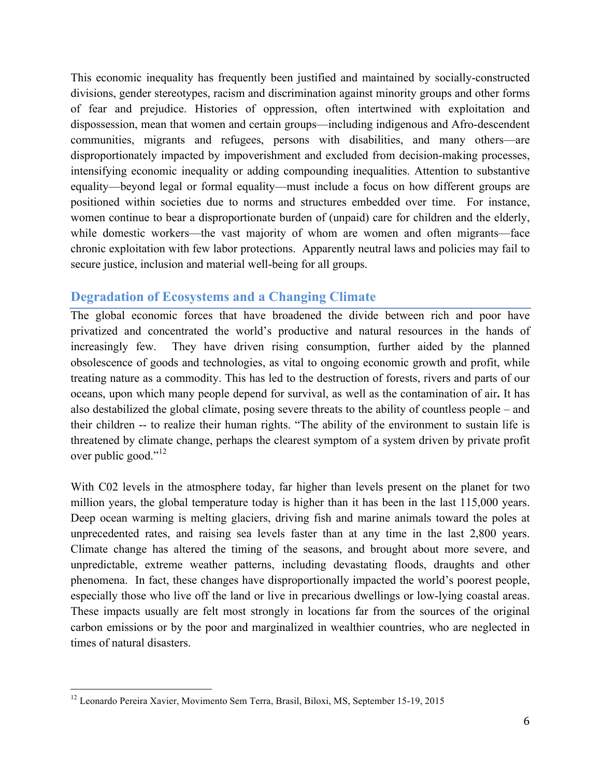This economic inequality has frequently been justified and maintained by socially-constructed divisions, gender stereotypes, racism and discrimination against minority groups and other forms of fear and prejudice. Histories of oppression, often intertwined with exploitation and dispossession, mean that women and certain groups—including indigenous and Afro-descendent communities, migrants and refugees, persons with disabilities, and many others—are disproportionately impacted by impoverishment and excluded from decision-making processes, intensifying economic inequality or adding compounding inequalities. Attention to substantive equality—beyond legal or formal equality—must include a focus on how different groups are positioned within societies due to norms and structures embedded over time. For instance, women continue to bear a disproportionate burden of (unpaid) care for children and the elderly, while domestic workers—the vast majority of whom are women and often migrants—face chronic exploitation with few labor protections. Apparently neutral laws and policies may fail to secure justice, inclusion and material well-being for all groups.

#### **Degradation of Ecosystems and a Changing Climate**

The global economic forces that have broadened the divide between rich and poor have privatized and concentrated the world's productive and natural resources in the hands of increasingly few. They have driven rising consumption, further aided by the planned obsolescence of goods and technologies, as vital to ongoing economic growth and profit, while treating nature as a commodity. This has led to the destruction of forests, rivers and parts of our oceans, upon which many people depend for survival, as well as the contamination of air**.** It has also destabilized the global climate, posing severe threats to the ability of countless people – and their children -- to realize their human rights. "The ability of the environment to sustain life is threatened by climate change, perhaps the clearest symptom of a system driven by private profit over public good."<sup>12</sup>

With C02 levels in the atmosphere today, far higher than levels present on the planet for two million years, the global temperature today is higher than it has been in the last 115,000 years. Deep ocean warming is melting glaciers, driving fish and marine animals toward the poles at unprecedented rates, and raising sea levels faster than at any time in the last 2,800 years. Climate change has altered the timing of the seasons, and brought about more severe, and unpredictable, extreme weather patterns, including devastating floods, draughts and other phenomena. In fact, these changes have disproportionally impacted the world's poorest people, especially those who live off the land or live in precarious dwellings or low-lying coastal areas. These impacts usually are felt most strongly in locations far from the sources of the original carbon emissions or by the poor and marginalized in wealthier countries, who are neglected in times of natural disasters.

<sup>&</sup>lt;sup>12</sup> Leonardo Pereira Xavier, Movimento Sem Terra, Brasil, Biloxi, MS, September 15-19, 2015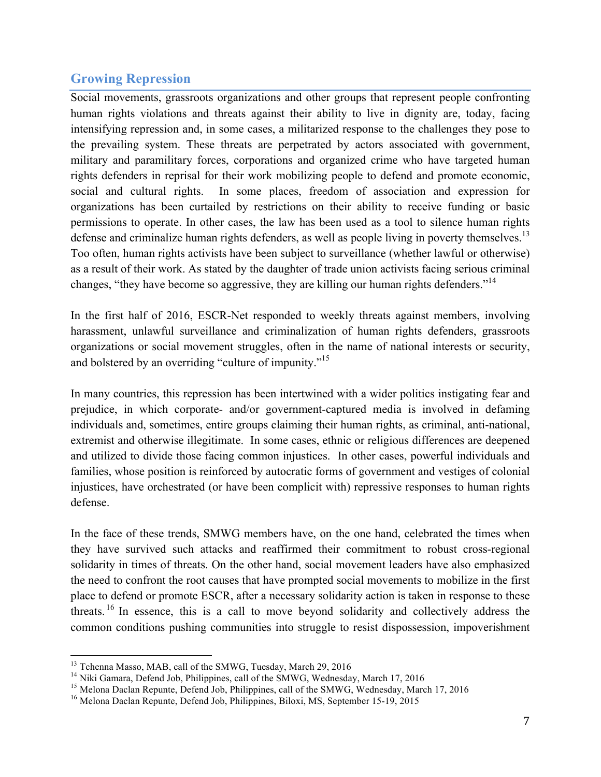#### **Growing Repression**

Social movements, grassroots organizations and other groups that represent people confronting human rights violations and threats against their ability to live in dignity are, today, facing intensifying repression and, in some cases, a militarized response to the challenges they pose to the prevailing system. These threats are perpetrated by actors associated with government, military and paramilitary forces, corporations and organized crime who have targeted human rights defenders in reprisal for their work mobilizing people to defend and promote economic, social and cultural rights. In some places, freedom of association and expression for organizations has been curtailed by restrictions on their ability to receive funding or basic permissions to operate. In other cases, the law has been used as a tool to silence human rights defense and criminalize human rights defenders, as well as people living in poverty themselves.<sup>13</sup> Too often, human rights activists have been subject to surveillance (whether lawful or otherwise) as a result of their work. As stated by the daughter of trade union activists facing serious criminal changes, "they have become so aggressive, they are killing our human rights defenders."<sup>14</sup>

In the first half of 2016, ESCR-Net responded to weekly threats against members, involving harassment, unlawful surveillance and criminalization of human rights defenders, grassroots organizations or social movement struggles, often in the name of national interests or security, and bolstered by an overriding "culture of impunity."<sup>15</sup>

In many countries, this repression has been intertwined with a wider politics instigating fear and prejudice, in which corporate- and/or government-captured media is involved in defaming individuals and, sometimes, entire groups claiming their human rights, as criminal, anti-national, extremist and otherwise illegitimate. In some cases, ethnic or religious differences are deepened and utilized to divide those facing common injustices. In other cases, powerful individuals and families, whose position is reinforced by autocratic forms of government and vestiges of colonial injustices, have orchestrated (or have been complicit with) repressive responses to human rights defense.

In the face of these trends, SMWG members have, on the one hand, celebrated the times when they have survived such attacks and reaffirmed their commitment to robust cross-regional solidarity in times of threats. On the other hand, social movement leaders have also emphasized the need to confront the root causes that have prompted social movements to mobilize in the first place to defend or promote ESCR, after a necessary solidarity action is taken in response to these threats. <sup>16</sup> In essence, this is a call to move beyond solidarity and collectively address the common conditions pushing communities into struggle to resist dispossession, impoverishment

<sup>&</sup>lt;sup>13</sup> Tchenna Masso, MAB, call of the SMWG, Tuesday, March 29, 2016<br><sup>14</sup> Niki Gamara, Defend Job, Philippines, call of the SMWG, Wednesday, March 17, 2016<br><sup>15</sup> Melona Daclan Repunte, Defend Job, Philippines, call of the SM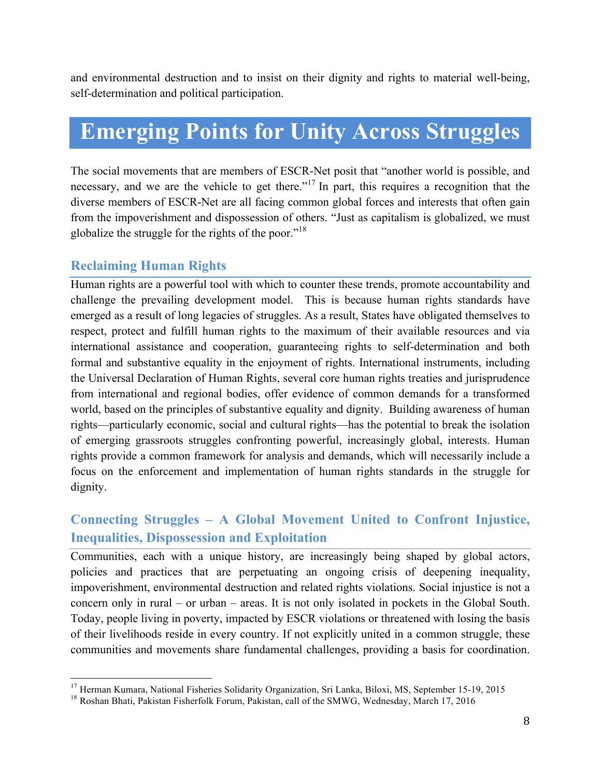and environmental destruction and to insist on their dignity and rights to material well-being, self-determination and political participation.

## **Emerging Points for Unity Across Struggles**

The social movements that are members of ESCR-Net posit that "another world is possible, and necessary, and we are the vehicle to get there."<sup>17</sup> In part, this requires a recognition that the diverse members of ESCR-Net are all facing common global forces and interests that often gain from the impoverishment and dispossession of others. "Just as capitalism is globalized, we must globalize the struggle for the rights of the poor."<sup>18</sup>

#### **Reclaiming Human Rights**

Human rights are a powerful tool with which to counter these trends, promote accountability and challenge the prevailing development model. This is because human rights standards have emerged as a result of long legacies of struggles. As a result, States have obligated themselves to respect, protect and fulfill human rights to the maximum of their available resources and via international assistance and cooperation, guaranteeing rights to self-determination and both formal and substantive equality in the enjoyment of rights. International instruments, including the Universal Declaration of Human Rights, several core human rights treaties and jurisprudence from international and regional bodies, offer evidence of common demands for a transformed world, based on the principles of substantive equality and dignity. Building awareness of human rights—particularly economic, social and cultural rights—has the potential to break the isolation of emerging grassroots struggles confronting powerful, increasingly global, interests. Human rights provide a common framework for analysis and demands, which will necessarily include a focus on the enforcement and implementation of human rights standards in the struggle for dignity.

#### **Connecting Struggles – A Global Movement United to Confront Injustice, Inequalities, Dispossession and Exploitation**

Communities, each with a unique history, are increasingly being shaped by global actors, policies and practices that are perpetuating an ongoing crisis of deepening inequality, impoverishment, environmental destruction and related rights violations. Social injustice is not a concern only in rural – or urban – areas. It is not only isolated in pockets in the Global South. Today, people living in poverty, impacted by ESCR violations or threatened with losing the basis of their livelihoods reside in every country. If not explicitly united in a common struggle, these communities and movements share fundamental challenges, providing a basis for coordination.

<sup>&</sup>lt;sup>17</sup> Herman Kumara, National Fisheries Solidarity Organization, Sri Lanka, Biloxi, MS, September 15-19, 2015 <sup>18</sup> Roshan Bhati, Pakistan Fisherfolk Forum, Pakistan, call of the SMWG, Wednesday, March 17, 2016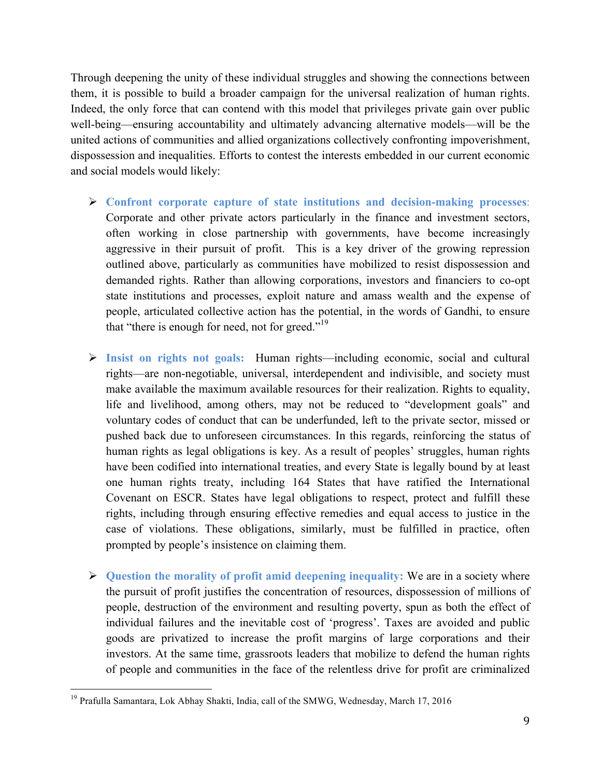Through deepening the unity of these individual struggles and showing the connections between them, it is possible to build a broader campaign for the universal realization of human rights. Indeed, the only force that can contend with this model that privileges private gain over public well-being—ensuring accountability and ultimately advancing alternative models—will be the united actions of communities and allied organizations collectively confronting impoverishment, dispossession and inequalities. Efforts to contest the interests embedded in our current economic and social models would likely:

- Ø **Confront corporate capture of state institutions and decision-making processes**: Corporate and other private actors particularly in the finance and investment sectors, often working in close partnership with governments, have become increasingly aggressive in their pursuit of profit. This is a key driver of the growing repression outlined above, particularly as communities have mobilized to resist dispossession and demanded rights. Rather than allowing corporations, investors and financiers to co-opt state institutions and processes, exploit nature and amass wealth and the expense of people, articulated collective action has the potential, in the words of Gandhi, to ensure that "there is enough for need, not for greed."<sup>19</sup>
- Ø **Insist on rights not goals:** Human rights—including economic, social and cultural rights—are non-negotiable, universal, interdependent and indivisible, and society must make available the maximum available resources for their realization. Rights to equality, life and livelihood, among others, may not be reduced to "development goals" and voluntary codes of conduct that can be underfunded, left to the private sector, missed or pushed back due to unforeseen circumstances. In this regards, reinforcing the status of human rights as legal obligations is key. As a result of peoples' struggles, human rights have been codified into international treaties, and every State is legally bound by at least one human rights treaty, including 164 States that have ratified the International Covenant on ESCR. States have legal obligations to respect, protect and fulfill these rights, including through ensuring effective remedies and equal access to justice in the case of violations. These obligations, similarly, must be fulfilled in practice, often prompted by people's insistence on claiming them.
- Ø **Question the morality of profit amid deepening inequality:** We are in a society where the pursuit of profit justifies the concentration of resources, dispossession of millions of people, destruction of the environment and resulting poverty, spun as both the effect of individual failures and the inevitable cost of 'progress'. Taxes are avoided and public goods are privatized to increase the profit margins of large corporations and their investors. At the same time, grassroots leaders that mobilize to defend the human rights of people and communities in the face of the relentless drive for profit are criminalized

<sup>&</sup>lt;sup>19</sup> Prafulla Samantara, Lok Abhay Shakti, India, call of the SMWG, Wednesday, March 17, 2016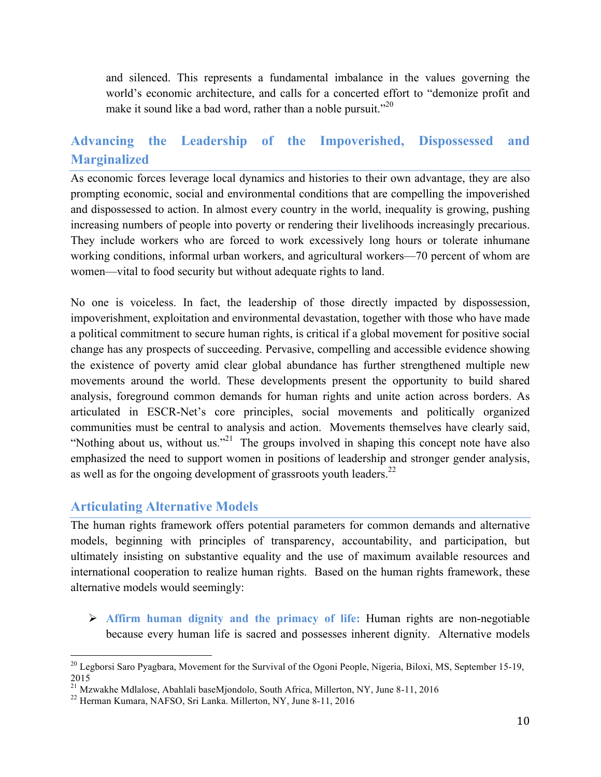and silenced. This represents a fundamental imbalance in the values governing the world's economic architecture, and calls for a concerted effort to "demonize profit and make it sound like a bad word, rather than a noble pursuit."<sup>20</sup>

#### **Advancing the Leadership of the Impoverished, Dispossessed and Marginalized**

As economic forces leverage local dynamics and histories to their own advantage, they are also prompting economic, social and environmental conditions that are compelling the impoverished and dispossessed to action. In almost every country in the world, inequality is growing, pushing increasing numbers of people into poverty or rendering their livelihoods increasingly precarious. They include workers who are forced to work excessively long hours or tolerate inhumane working conditions, informal urban workers, and agricultural workers—70 percent of whom are women—vital to food security but without adequate rights to land.

No one is voiceless. In fact, the leadership of those directly impacted by dispossession, impoverishment, exploitation and environmental devastation, together with those who have made a political commitment to secure human rights, is critical if a global movement for positive social change has any prospects of succeeding. Pervasive, compelling and accessible evidence showing the existence of poverty amid clear global abundance has further strengthened multiple new movements around the world. These developments present the opportunity to build shared analysis, foreground common demands for human rights and unite action across borders. As articulated in ESCR-Net's core principles, social movements and politically organized communities must be central to analysis and action. Movements themselves have clearly said, "Nothing about us, without us."<sup>21</sup> The groups involved in shaping this concept note have also emphasized the need to support women in positions of leadership and stronger gender analysis, as well as for the ongoing development of grassroots youth leaders. $^{22}$ 

#### **Articulating Alternative Models**

The human rights framework offers potential parameters for common demands and alternative models, beginning with principles of transparency, accountability, and participation, but ultimately insisting on substantive equality and the use of maximum available resources and international cooperation to realize human rights. Based on the human rights framework, these alternative models would seemingly:

Ø **Affirm human dignity and the primacy of life:** Human rights are non-negotiable because every human life is sacred and possesses inherent dignity. Alternative models

<sup>&</sup>lt;sup>20</sup> Legborsi Saro Pyagbara, Movement for the Survival of the Ogoni People, Nigeria, Biloxi, MS, September 15-19, 2015

<sup>&</sup>lt;sup>21</sup> Mzwakhe Mdlalose, Abahlali baseMjondolo, South Africa, Millerton, NY, June 8-11, 2016<br><sup>22</sup> Herman Kumara, NAFSO, Sri Lanka. Millerton, NY, June 8-11, 2016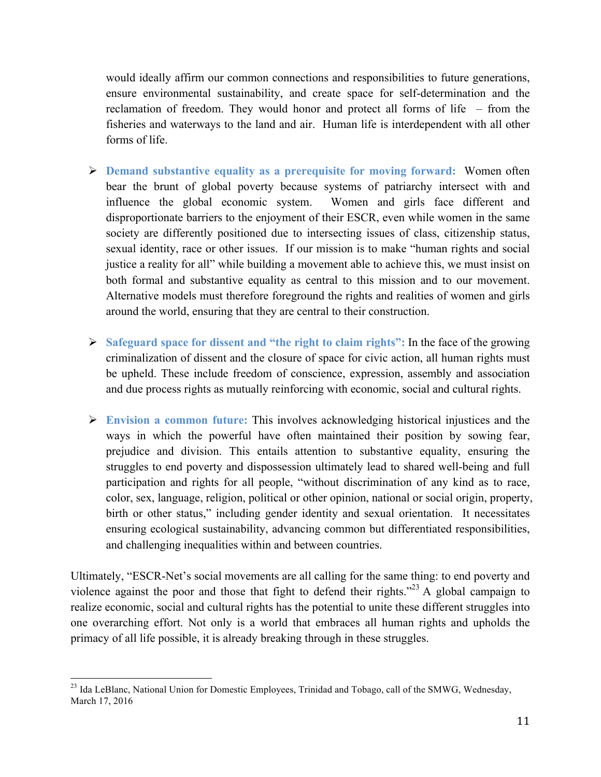would ideally affirm our common connections and responsibilities to future generations, ensure environmental sustainability, and create space for self-determination and the reclamation of freedom. They would honor and protect all forms of life – from the fisheries and waterways to the land and air. Human life is interdependent with all other forms of life.

- Ø **Demand substantive equality as a prerequisite for moving forward:** Women often bear the brunt of global poverty because systems of patriarchy intersect with and influence the global economic system. Women and girls face different and disproportionate barriers to the enjoyment of their ESCR, even while women in the same society are differently positioned due to intersecting issues of class, citizenship status, sexual identity, race or other issues. If our mission is to make "human rights and social justice a reality for all" while building a movement able to achieve this, we must insist on both formal and substantive equality as central to this mission and to our movement. Alternative models must therefore foreground the rights and realities of women and girls around the world, ensuring that they are central to their construction.
- Ø **Safeguard space for dissent and "the right to claim rights":** In the face of the growing criminalization of dissent and the closure of space for civic action, all human rights must be upheld. These include freedom of conscience, expression, assembly and association and due process rights as mutually reinforcing with economic, social and cultural rights.
- Ø **Envision a common future:** This involves acknowledging historical injustices and the ways in which the powerful have often maintained their position by sowing fear, prejudice and division. This entails attention to substantive equality, ensuring the struggles to end poverty and dispossession ultimately lead to shared well-being and full participation and rights for all people, "without discrimination of any kind as to race, color, sex, language, religion, political or other opinion, national or social origin, property, birth or other status," including gender identity and sexual orientation. It necessitates ensuring ecological sustainability, advancing common but differentiated responsibilities, and challenging inequalities within and between countries.

Ultimately, "ESCR-Net's social movements are all calling for the same thing: to end poverty and violence against the poor and those that fight to defend their rights."<sup>23</sup> A global campaign to realize economic, social and cultural rights has the potential to unite these different struggles into one overarching effort. Not only is a world that embraces all human rights and upholds the primacy of all life possible, it is already breaking through in these struggles.

<sup>&</sup>lt;sup>23</sup> Ida LeBlanc, National Union for Domestic Employees, Trinidad and Tobago, call of the SMWG, Wednesday, March 17, 2016